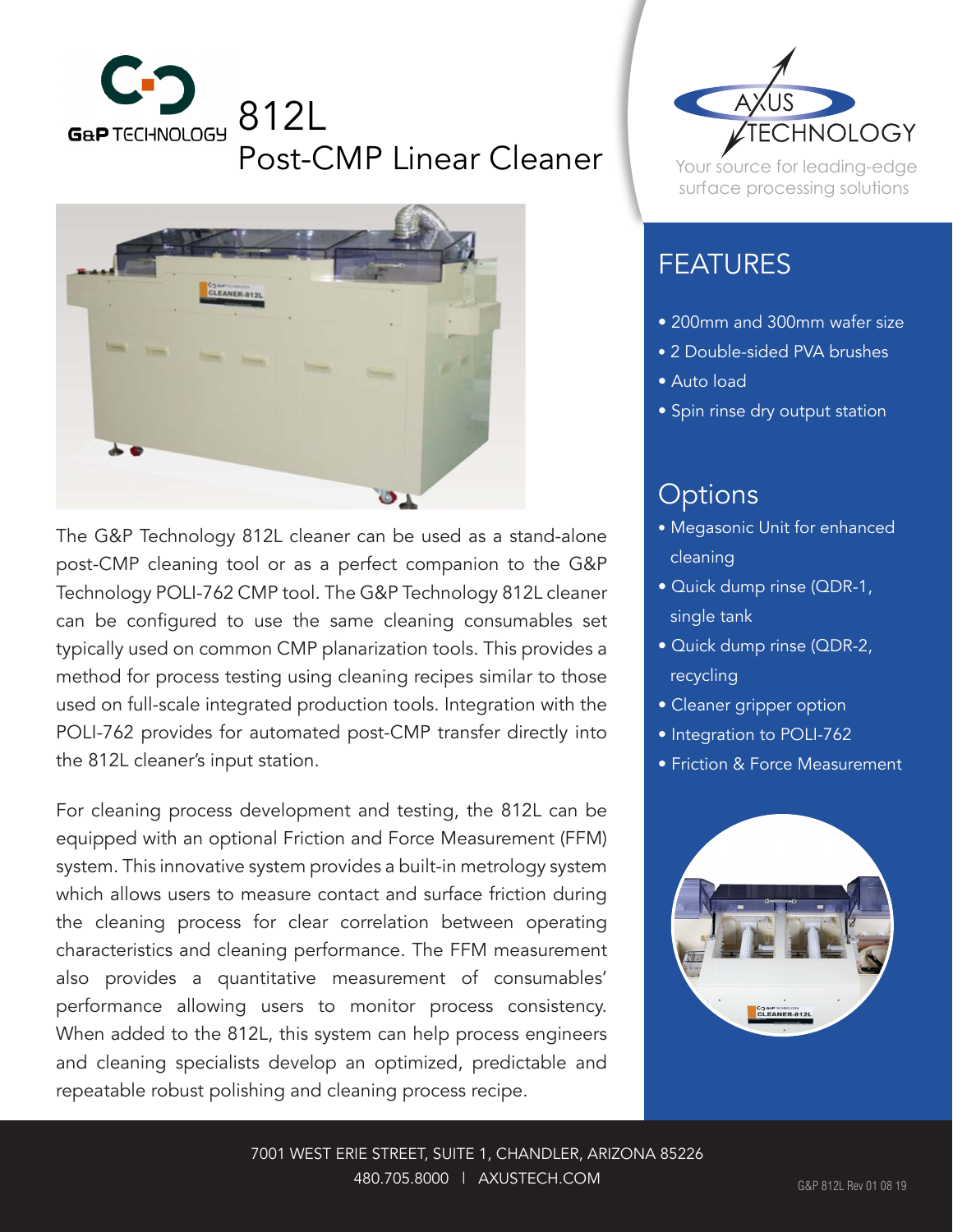



The G&P Technology 812L cleaner can be used as a stand-alone post-CMP cleaning tool or as a perfect companion to the G&P Technology POLI-762 CMP tool. The G&P Technology 812L cleaner can be configured to use the same cleaning consumables set typically used on common CMP planarization tools. This provides a method for process testing using cleaning recipes similar to those used on full-scale integrated production tools. Integration with the POLI-762 provides for automated post-CMP transfer directly into the 812L cleaner's input station.

For cleaning process development and testing, the 812L can be equipped with an optional Friction and Force Measurement (FFM) system. This innovative system provides a built-in metrology system which allows users to measure contact and surface friction during the cleaning process for clear correlation between operating characteristics and cleaning performance. The FFM measurement also provides a quantitative measurement of consumables' performance allowing users to monitor process consistency. When added to the 812L, this system can help process engineers and cleaning specialists develop an optimized, predictable and repeatable robust polishing and cleaning process recipe.



Your source for leading-edge surface processing solutions

## FEATURES

- 200mm and 300mm wafer size
- 2 Double-sided PVA brushes
- Auto load
- Spin rinse dry output station

## **Options**

- Megasonic Unit for enhanced cleaning
- Quick dump rinse (QDR-1, single tank
- Quick dump rinse (QDR-2, recycling
- Cleaner gripper option
- **Integration to POLI-762**
- Friction & Force Measurement